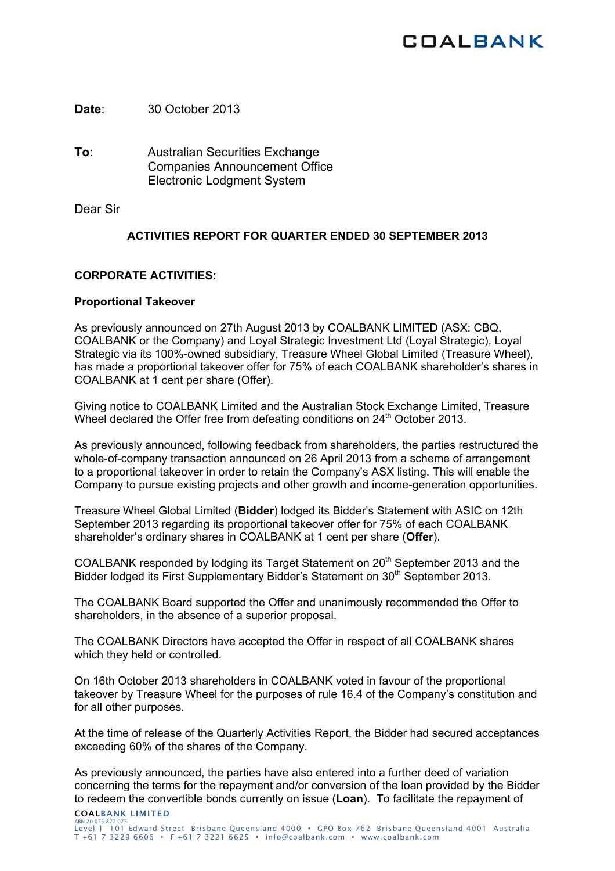# **COALBANK**

**Date**: 30 October 2013

**To**: Australian Securities Exchange Companies Announcement Office Electronic Lodgment System

Dear Sir

# **ACTIVITIES REPORT FOR QUARTER ENDED 30 SEPTEMBER 2013**

# **CORPORATE ACTIVITIES:**

# **Proportional Takeover**

As previously announced on 27th August 2013 by COALBANK LIMITED (ASX: CBQ, COALBANK or the Company) and Loyal Strategic Investment Ltd (Loyal Strategic), Loyal Strategic via its 100%-owned subsidiary, Treasure Wheel Global Limited (Treasure Wheel), has made a proportional takeover offer for 75% of each COALBANK shareholder's shares in COALBANK at 1 cent per share (Offer).

Giving notice to COALBANK Limited and the Australian Stock Exchange Limited, Treasure Wheel declared the Offer free from defeating conditions on 24<sup>th</sup> October 2013.

As previously announced, following feedback from shareholders, the parties restructured the whole-of-company transaction announced on 26 April 2013 from a scheme of arrangement to a proportional takeover in order to retain the Company's ASX listing. This will enable the Company to pursue existing projects and other growth and income-generation opportunities.

Treasure Wheel Global Limited (**Bidder**) lodged its Bidder's Statement with ASIC on 12th September 2013 regarding its proportional takeover offer for 75% of each COALBANK shareholder's ordinary shares in COALBANK at 1 cent per share (**Offer**).

COALBANK responded by lodging its Target Statement on 20<sup>th</sup> September 2013 and the Bidder lodged its First Supplementary Bidder's Statement on 30<sup>th</sup> September 2013.

The COALBANK Board supported the Offer and unanimously recommended the Offer to shareholders, in the absence of a superior proposal.

The COALBANK Directors have accepted the Offer in respect of all COALBANK shares which they held or controlled.

On 16th October 2013 shareholders in COALBANK voted in favour of the proportional takeover by Treasure Wheel for the purposes of rule 16.4 of the Company's constitution and for all other purposes.

At the time of release of the Quarterly Activities Report, the Bidder had secured acceptances exceeding 60% of the shares of the Company.

COALBANK LIMITED As previously announced, the parties have also entered into a further deed of variation concerning the terms for the repayment and/or conversion of the loan provided by the Bidder to redeem the convertible bonds currently on issue (**Loan**). To facilitate the repayment of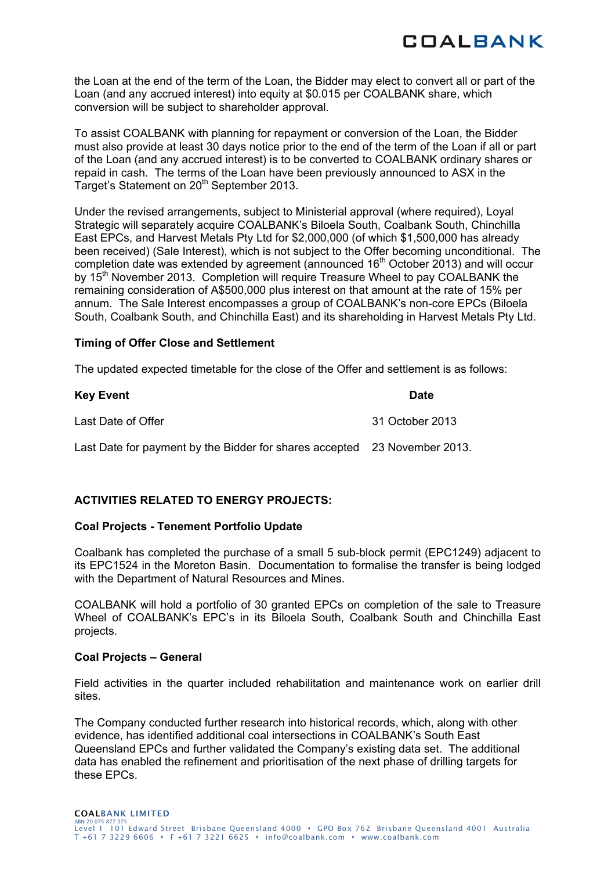

the Loan at the end of the term of the Loan, the Bidder may elect to convert all or part of the Loan (and any accrued interest) into equity at \$0.015 per COALBANK share, which conversion will be subject to shareholder approval.

To assist COALBANK with planning for repayment or conversion of the Loan, the Bidder must also provide at least 30 days notice prior to the end of the term of the Loan if all or part of the Loan (and any accrued interest) is to be converted to COALBANK ordinary shares or repaid in cash. The terms of the Loan have been previously announced to ASX in the Target's Statement on 20<sup>th</sup> September 2013.

Under the revised arrangements, subject to Ministerial approval (where required), Loyal Strategic will separately acquire COALBANK's Biloela South, Coalbank South, Chinchilla East EPCs, and Harvest Metals Pty Ltd for \$2,000,000 (of which \$1,500,000 has already been received) (Sale Interest), which is not subject to the Offer becoming unconditional. The completion date was extended by agreement (announced  $16<sup>th</sup>$  October 2013) and will occur by 15<sup>th</sup> November 2013. Completion will require Treasure Wheel to pay COALBANK the remaining consideration of A\$500,000 plus interest on that amount at the rate of 15% per annum. The Sale Interest encompasses a group of COALBANK's non-core EPCs (Biloela South, Coalbank South, and Chinchilla East) and its shareholding in Harvest Metals Pty Ltd.

# **Timing of Offer Close and Settlement**

The updated expected timetable for the close of the Offer and settlement is as follows:

| <b>Key Event</b>                                                          | <b>Date</b>     |
|---------------------------------------------------------------------------|-----------------|
| Last Date of Offer                                                        | 31 October 2013 |
| Last Date for payment by the Bidder for shares accepted 23 November 2013. |                 |

# **ACTIVITIES RELATED TO ENERGY PROJECTS:**

### **Coal Projects - Tenement Portfolio Update**

Coalbank has completed the purchase of a small 5 sub-block permit (EPC1249) adjacent to its EPC1524 in the Moreton Basin. Documentation to formalise the transfer is being lodged with the Department of Natural Resources and Mines.

COALBANK will hold a portfolio of 30 granted EPCs on completion of the sale to Treasure Wheel of COALBANK's EPC's in its Biloela South, Coalbank South and Chinchilla East projects.

### **Coal Projects – General**

Field activities in the quarter included rehabilitation and maintenance work on earlier drill sites.

The Company conducted further research into historical records, which, along with other evidence, has identified additional coal intersections in COALBANK's South East Queensland EPCs and further validated the Company's existing data set. The additional data has enabled the refinement and prioritisation of the next phase of drilling targets for these EPCs.